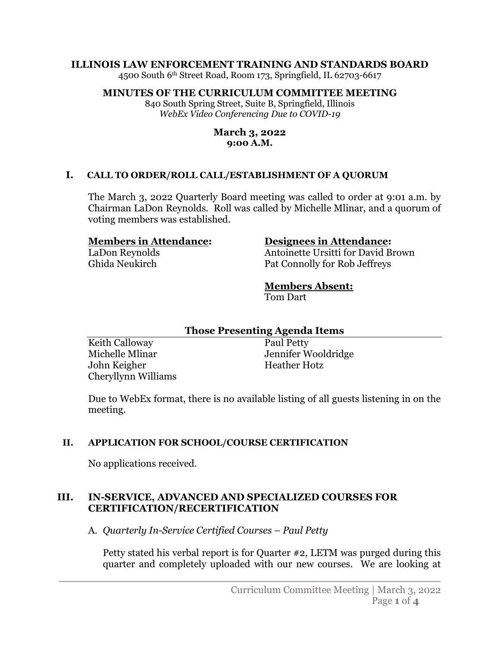#### **ILLINOIS LAW ENFORCEMENT TRAINING AND STANDARDS BOARD**

4500 South 6th Street Road, Room 173, Springfield, IL 62703-6617

#### **MINUTES OF THE CURRICULUM COMMITTEE MEETING**

840 South Spring Street, Suite B, Springfield, Illinois *WebEx Video Conferencing Due to COVID-19*

#### **March 3, 2022 9:00 A.M.**

#### **I. CALL TO ORDER/ROLL CALL/ESTABLISHMENT OF A QUORUM**

The March 3, 2022 Quarterly Board meeting was called to order at 9:01 a.m. by Chairman LaDon Reynolds. Roll was called by Michelle Mlinar, and a quorum of voting members was established.

#### **Members in Attendance:**

LaDon Reynolds Ghida Neukirch

#### **Designees in Attendance:**

Antoinette Ursitti for David Brown Pat Connolly for Rob Jeffreys

# **Members Absent:**

Tom Dart

#### **Those Presenting Agenda Items**

Keith Calloway Michelle Mlinar John Keigher Cheryllynn Williams

Paul Petty Jennifer Wooldridge Heather Hotz

Due to WebEx format, there is no available listing of all guests listening in on the meeting.

#### **II. APPLICATION FOR SCHOOL/COURSE CERTIFICATION**

No applications received.

#### **III. IN-SERVICE, ADVANCED AND SPECIALIZED COURSES FOR CERTIFICATION/RECERTIFICATION**

A. *Quarterly In-Service Certified Courses – Paul Petty*

Petty stated his verbal report is for Quarter #2, LETM was purged during this quarter and completely uploaded with our new courses. We are looking at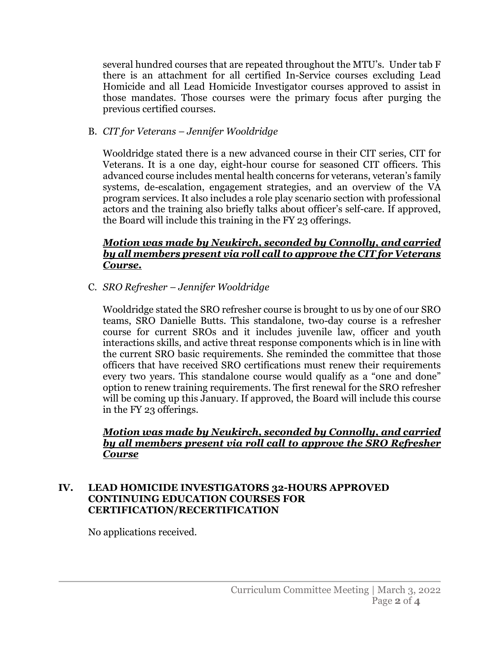several hundred courses that are repeated throughout the MTU's. Under tab F there is an attachment for all certified In-Service courses excluding Lead Homicide and all Lead Homicide Investigator courses approved to assist in those mandates. Those courses were the primary focus after purging the previous certified courses.

B. *CIT for Veterans – Jennifer Wooldridge*

Wooldridge stated there is a new advanced course in their CIT series, CIT for Veterans. It is a one day, eight-hour course for seasoned CIT officers. This advanced course includes mental health concerns for veterans, veteran's family systems, de-escalation, engagement strategies, and an overview of the VA program services. It also includes a role play scenario section with professional actors and the training also briefly talks about officer's self-care. If approved, the Board will include this training in the FY 23 offerings.

#### *Motion was made by Neukirch, seconded by Connolly, and carried by all members present via roll call to approve the CIT for Veterans Course.*

C. *SRO Refresher – Jennifer Wooldridge*

Wooldridge stated the SRO refresher course is brought to us by one of our SRO teams, SRO Danielle Butts. This standalone, two-day course is a refresher course for current SROs and it includes juvenile law, officer and youth interactions skills, and active threat response components which is in line with the current SRO basic requirements. She reminded the committee that those officers that have received SRO certifications must renew their requirements every two years. This standalone course would qualify as a "one and done" option to renew training requirements. The first renewal for the SRO refresher will be coming up this January. If approved, the Board will include this course in the FY 23 offerings.

### *Motion was made by Neukirch, seconded by Connolly, and carried by all members present via roll call to approve the SRO Refresher Course*

### **IV. LEAD HOMICIDE INVESTIGATORS 32-HOURS APPROVED CONTINUING EDUCATION COURSES FOR CERTIFICATION/RECERTIFICATION**

No applications received.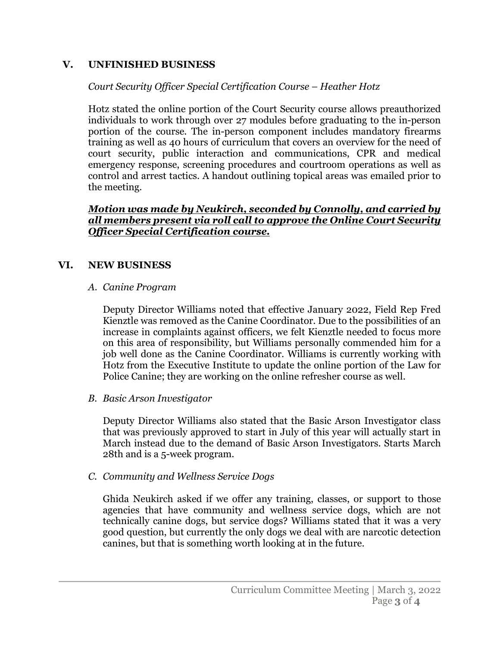## **V. UNFINISHED BUSINESS**

## *Court Security Officer Special Certification Course – Heather Hotz*

Hotz stated the online portion of the Court Security course allows preauthorized individuals to work through over 27 modules before graduating to the in-person portion of the course. The in-person component includes mandatory firearms training as well as 40 hours of curriculum that covers an overview for the need of court security, public interaction and communications, CPR and medical emergency response, screening procedures and courtroom operations as well as control and arrest tactics. A handout outlining topical areas was emailed prior to the meeting.

#### *Motion was made by Neukirch, seconded by Connolly, and carried by all members present via roll call to approve the Online Court Security Officer Special Certification course.*

## **VI. NEW BUSINESS**

#### *A. Canine Program*

Deputy Director Williams noted that effective January 2022, Field Rep Fred Kienztle was removed as the Canine Coordinator. Due to the possibilities of an increase in complaints against officers, we felt Kienztle needed to focus more on this area of responsibility, but Williams personally commended him for a job well done as the Canine Coordinator. Williams is currently working with Hotz from the Executive Institute to update the online portion of the Law for Police Canine; they are working on the online refresher course as well.

### *B. Basic Arson Investigator*

Deputy Director Williams also stated that the Basic Arson Investigator class that was previously approved to start in July of this year will actually start in March instead due to the demand of Basic Arson Investigators. Starts March 28th and is a 5-week program.

### *C. Community and Wellness Service Dogs*

Ghida Neukirch asked if we offer any training, classes, or support to those agencies that have community and wellness service dogs, which are not technically canine dogs, but service dogs? Williams stated that it was a very good question, but currently the only dogs we deal with are narcotic detection canines, but that is something worth looking at in the future.